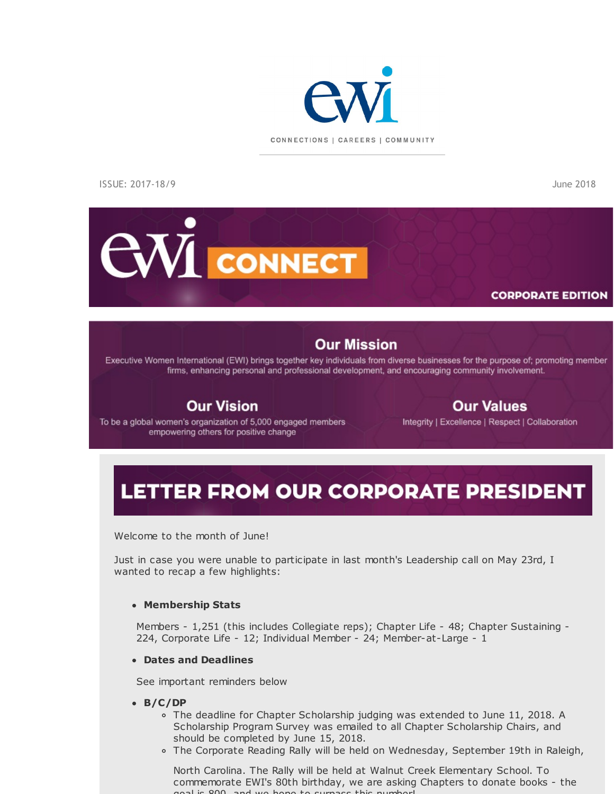

ISSUE: 2017-18/9 June 2018

# **CWI** CONNECT

### **CORPORATE EDITION**

### **Our Mission**

Executive Women International (EWI) brings together key individuals from diverse businesses for the purpose of; promoting member firms, enhancing personal and professional development, and encouraging community involvement.

### **Our Vision**

### **Our Values**

To be a global women's organization of 5,000 engaged members empowering others for positive change

Integrity | Excellence | Respect | Collaboration

### LETTER FROM OUR CORPORATE PRESIDENT

Welcome to the month of June!

Just in case you were unable to participate in last month's Leadership call on May 23rd, I wanted to recap a few highlights:

#### **Membership Stats**

Members - 1,251 (this includes Collegiate reps); Chapter Life - 48; Chapter Sustaining -224, Corporate Life - 12; Individual Member - 24; Member-at-Large - 1

#### **Dates and Deadlines**

See important reminders below

#### **B/C/DP**

- o The deadline for Chapter Scholarship judging was extended to June 11, 2018. A Scholarship Program Survey was emailed to all Chapter Scholarship Chairs, and should be completed by June 15, 2018.
- The Corporate Reading Rally will be held on Wednesday, September 19th in Raleigh,

North Carolina. The Rally will be held at Walnut Creek Elementary School. To commemorate EWI's 80th birthday, we are asking Chapters to donate books - the goal is 800, and we hope to surpass this number!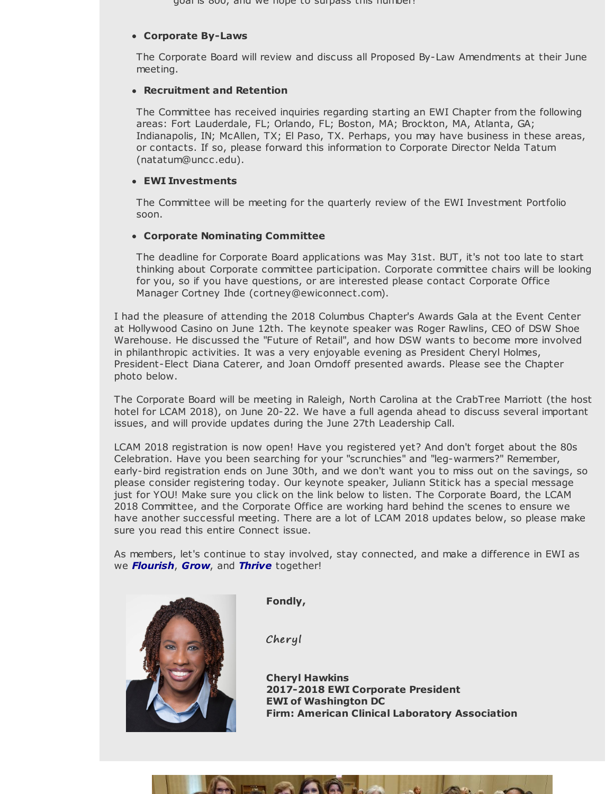goal is 800, and we hope to surpass this number!

#### **Corporate By-Laws**

The Corporate Board will review and discuss all Proposed By-Law Amendments at their June meeting.

#### **Recruitment and Retention**

The Committee has received inquiries regarding starting an EWI Chapter from the following areas: Fort Lauderdale, FL; Orlando, FL; Boston, MA; Brockton, MA, Atlanta, GA; Indianapolis, IN; McAllen, TX; El Paso, TX. Perhaps, you may have business in these areas, or contacts. If so, please forward this information to Corporate Director Nelda Tatum (natatum@uncc.edu).

#### **EWI Investments**

The Committee will be meeting for the quarterly review of the EWI Investment Portfolio soon.

#### **Corporate Nominating Committee**

The deadline for Corporate Board applications was May 31st. BUT, it's not too late to start thinking about Corporate committee participation. Corporate committee chairs will be looking for you, so if you have questions, or are interested please contact Corporate Office Manager Cortney Ihde (cortney@ewiconnect.com).

I had the pleasure of attending the 2018 Columbus Chapter's Awards Gala at the Event Center at Hollywood Casino on June 12th. The keynote speaker was Roger Rawlins, CEO of DSW Shoe Warehouse. He discussed the "Future of Retail", and how DSW wants to become more involved in philanthropic activities. It was a very enjoyable evening as President Cheryl Holmes, President-Elect Diana Caterer, and Joan Orndoff presented awards. Please see the Chapter photo below.

The Corporate Board will be meeting in Raleigh, North Carolina at the CrabTree Marriott (the host hotel for LCAM 2018), on June 20-22. We have a full agenda ahead to discuss several important issues, and will provide updates during the June 27th Leadership Call.

LCAM 2018 registration is now open! Have you registered yet? And don't forget about the 80s Celebration. Have you been searching for your "scrunchies" and "leg-warmers?" Remember, early-bird registration ends on June 30th, and we don't want you to miss out on the savings, so please consider registering today. Our keynote speaker, Juliann Stitick has a special message just for YOU! Make sure you click on the link below to listen. The Corporate Board, the LCAM 2018 Committee, and the Corporate Office are working hard behind the scenes to ensure we have another successful meeting. There are a lot of LCAM 2018 updates below, so please make sure you read this entire Connect issue.

As members, let's continue to stay involved, stay connected, and make a difference in EWI as we *Flourish*, *Grow*, and *Thrive* together!



**Fondly,**

Cheryl

**Cheryl Hawkins 2017-2018 EWI Corporate President EWI of Washington DC Firm: American Clinical Laboratory Association**

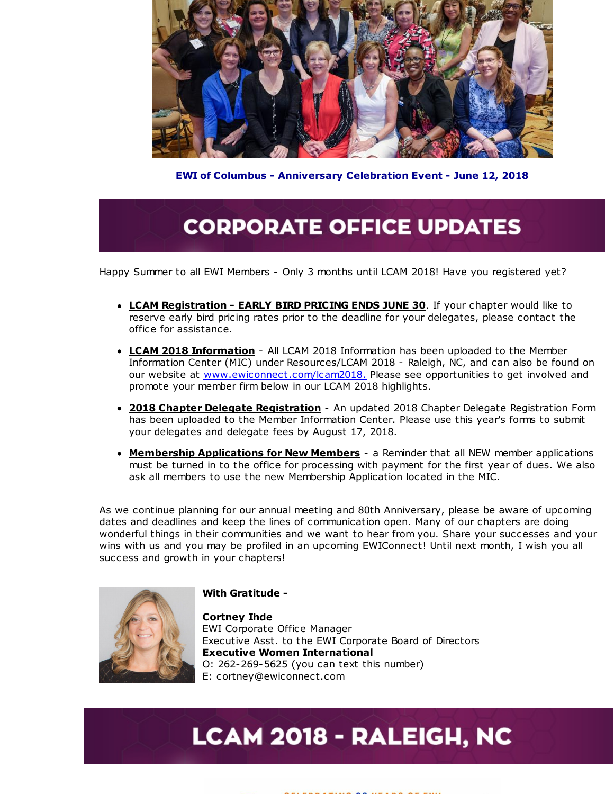

**EWI of Columbus - Anniversary Celebration Event - June 12, 2018**

### **CORPORATE OFFICE UPDATES**

Happy Summer to all EWI Members - Only 3 months until LCAM 2018! Have you registered yet?

- **LCAM Registration - EARLY BIRD PRICING ENDS JUNE 30**. If your chapter would like to reserve early bird pricing rates prior to the deadline for your delegates, please contact the office for assistance.
- **LCAM 2018 Information** All LCAM 2018 Information has been uploaded to the Member Information Center (MIC) under Resources/LCAM 2018 - Raleigh, NC, and can also be found on our website at [www.ewiconnect.com/lcam2018.](http://r20.rs6.net/tn.jsp?f=001I0ba-jcicpZCqE_iT5Q2AUyNnk0ASzURXBny_BH6k4PmgknHoPvJQc0KyHtaWnpo9dKFI7O0Io7og7RzJz2Dp-1Q2M42kuaCddqwu1JhsRLko5wRfF8l6Lv7qMvrIfuC9wpeGFWy2YbkXHGz6Yn0G5gswPxZE6CFtXNc0XoKOExWVuGzMZdzYoiqqLMBpTUV&c=&ch=) Please see opportunities to get involved and promote your member firm below in our LCAM 2018 highlights.
- **2018 Chapter Delegate Registration** An updated 2018 Chapter Delegate Registration Form has been uploaded to the Member Information Center. Please use this year's forms to submit your delegates and delegate fees by August 17, 2018.
- **Membership Applications for New Members** a Reminder that all NEW member applications must be turned in to the office for processing with payment for the first year of dues. We also ask all members to use the new Membership Application located in the MIC.

As we continue planning for our annual meeting and 80th Anniversary, please be aware of upcoming dates and deadlines and keep the lines of communication open. Many of our chapters are doing wonderful things in their communities and we want to hear from you. Share your successes and your wins with us and you may be profiled in an upcoming EWIConnect! Until next month, I wish you all success and growth in your chapters!



#### **With Gratitude -**

**Cortney Ihde** EWI Corporate Office Manager Executive Asst. to the EWI Corporate Board of Directors **Executive Women International** O: 262-269-5625 (you can text this number) E: cortney@ewiconnect.com

# **LCAM 2018 - RALEIGH, NC**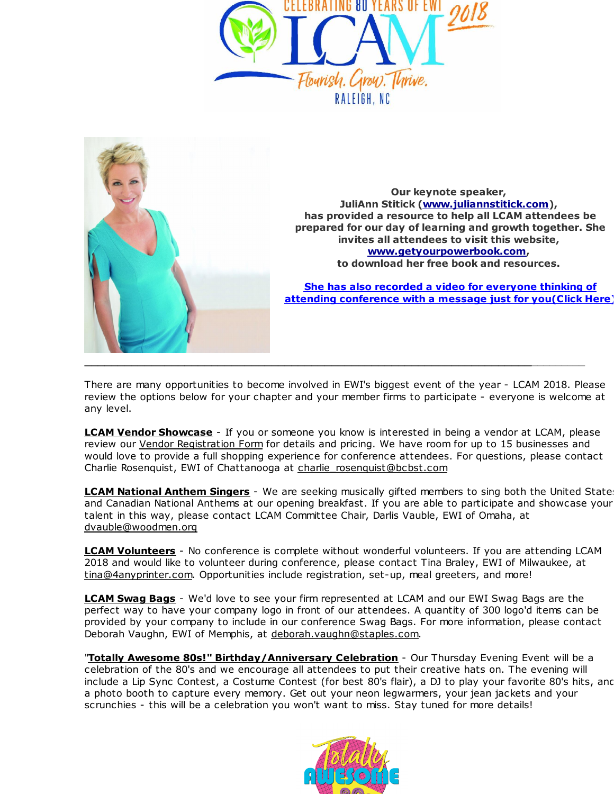



**Our keynote speaker, JuliAnn Stitick [\(www.juliannstitick.com](http://r20.rs6.net/tn.jsp?f=001I0ba-jcicpZCqE_iT5Q2AUyNnk0ASzURXBny_BH6k4PmgknHoPvJQV1bKZrWdY1KuZQF1mlBy8JaJMLCZmMqFprhkTWZmfV4Fp5Wt-ekM2UdZb5yPPot9bralF6A895H1ppWTgMnOpWWRJZjwk41Z9x3kpMUOKxeFxh3EdNM3jlJxC-Av8zdhg==&c=&ch=)), has provided a resource to help all LCAM attendees be prepared for our day of learning and growth together. She invites all attendees to visit this website, [www.getyourpowerbook.com](http://r20.rs6.net/tn.jsp?f=001I0ba-jcicpZCqE_iT5Q2AUyNnk0ASzURXBny_BH6k4PmgknHoPvJQV1bKZrWdY1Ku33L3oRYPj2c6xes0f1M0GjYa4fy9Z_aOcwBvSC4EzMOd-aGB6fCYjNzF7ip80Q7eeFsH--Rm12P1f7z9eyUvqCUrDf-W3MBnhEUdlxh6Whzf7xFbgMW2Q==&c=&ch=), to download her free book and resources.**

**She has also recorded a video for everyone thinking of attending [conference](http://r20.rs6.net/tn.jsp?f=001I0ba-jcicpZCqE_iT5Q2AUyNnk0ASzURXBny_BH6k4PmgknHoPvJQV1bKZrWdY1KCOBEia-uzZMsbKyS6QCp-nixa8_XzR2v5bWq8ivQFPRJljPRiMwxK0O1ZnGyfEiqsF8wpeWG3sP7Z_D42giKhkL4AwD7skgcuUQ4xDPJLNOdBDmVSnT3-WMefcPIhUXb96KRXNgJUW0jgYl1wRQWm89pftxBfFfFUjY69lV51heVNoUosMcUplZ711oa5_hGpZs4GIZLlM_fCiVHg_Nx4w==&c=&ch=) with a message just for you(Click Here)**

There are many opportunities to become involved in EWI's biggest event of the year - LCAM 2018. Please review the options below for your chapter and your member firms to participate - everyone is welcome at any level.

**LCAM Vendor Showcase** - If you or someone you know is interested in being a vendor at LCAM, please review our Vendor [Registration](http://r20.rs6.net/tn.jsp?f=001I0ba-jcicpZCqE_iT5Q2AUyNnk0ASzURXBny_BH6k4PmgknHoPvJQc0KyHtaWnpoJ1BK6EmNJsVn-5d5pyKflzYzaQWoExY1DkRfVwxw1iahE9t_52rJh2o5CkvA6sikK7mLlO3egLKGZSnbhGXOJ8Ec4WC8JC6HNyQxZqwu1Tj7wGdAEdZ63q7Gpza-wbj_H8WVXp3_l88e7iMjr5embcD2fxOPPKx7Lo9G1GVyrO5fp5WfyH2BmIegRHhGQ4pC&c=&ch=) Form for details and pricing. We have room for up to 15 businesses and would love to provide a full shopping experience for conference attendees. For questions, please contact Charlie Rosenquist, EWI of Chattanooga at charlie\_rosenquist@bcbst.com

**LCAM National Anthem Singers** - We are seeking musically gifted members to sing both the United States and Canadian National Anthems at our opening breakfast. If you are able to participate and showcase your talent in this way, please contact LCAM Committee Chair, Darlis Vauble, EWI of Omaha, at dvauble@woodmen.org

**LCAM Volunteers** - No conference is complete without wonderful volunteers. If you are attending LCAM 2018 and would like to volunteer during conference, please contact Tina Braley, EWI of Milwaukee, at tina@4anyprinter.com. Opportunities include registration, set-up, meal greeters, and more!

**LCAM Swag Bags** - We'd love to see your firm represented at LCAM and our EWI Swag Bags are the perfect way to have your company logo in front of our attendees. A quantity of 300 logo'd items can be provided by your company to include in our conference Swag Bags. For more information, please contact Deborah Vaughn, EWI of Memphis, at deborah.vaughn@staples.com.

"**Totally Awesome 80s!" Birthday/Anniversary Celebration** - Our Thursday Evening Event will be a celebration of the 80's and we encourage all attendees to put their creative hats on. The evening will include a Lip Sync Contest, a Costume Contest (for best 80's flair), a DJ to play your favorite 80's hits, and a photo booth to capture every memory. Get out your neon legwarmers, your jean jackets and your scrunchies - this will be a celebration you won't want to miss. Stay tuned for more details!

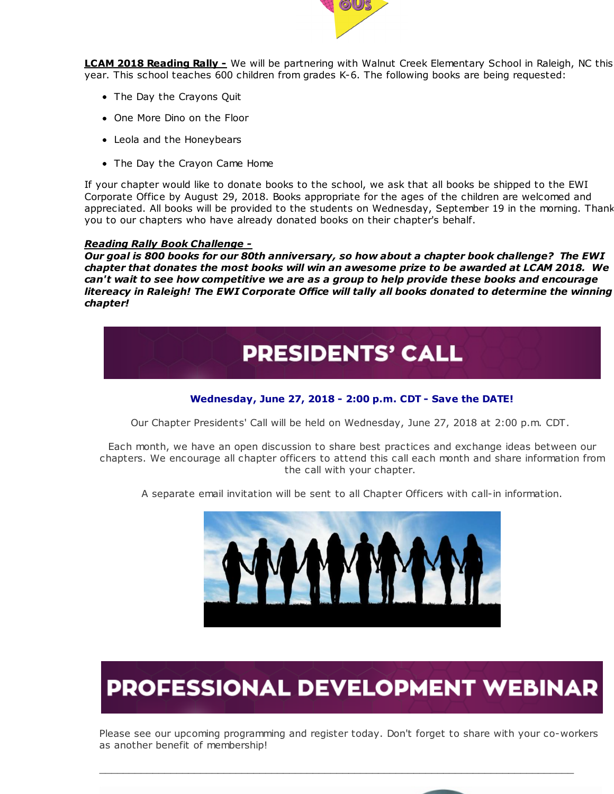

**LCAM 2018 Reading Rally -** We will be partnering with Walnut Creek Elementary School in Raleigh, NC this year. This school teaches 600 children from grades K-6. The following books are being requested:

- The Day the Crayons Quit
- One More Dino on the Floor
- Leola and the Honeybears
- The Day the Crayon Came Home

If your chapter would like to donate books to the school, we ask that all books be shipped to the EWI Corporate Office by August 29, 2018. Books appropriate for the ages of the children are welcomed and appreciated. All books will be provided to the students on Wednesday, September 19 in the morning. Thank you to our chapters who have already donated books on their chapter's behalf.

#### *Reading Rally Book Challenge -*

*Our goal is 800 books for our 80th anniversary, so how about a chapter book challenge? The EWI chapter that donates the most books will win an awesome prize to be awarded at LCAM 2018. We can't wait to see how competitive we are as a group to help provide these books and encourage litereacy in Raleigh! The EWI Corporate Office will tally all books donated to determine the winning chapter!*



#### **Wednesday, June 27, 2018 - 2:00 p.m. CDT - Save the DATE!**

Our Chapter Presidents' Call will be held on Wednesday, June 27, 2018 at 2:00 p.m. CDT.

Each month, we have an open discussion to share best practices and exchange ideas between our chapters. We encourage all chapter officers to attend this call each month and share information from the call with your chapter.

A separate email invitation will be sent to all Chapter Officers with call-in information.



# **PROFESSIONAL DEVELOPMENT WEBINAR**

Please see our upcoming programming and register today. Don't forget to share with your co-workers as another benefit of membership!

\_\_\_\_\_\_\_\_\_\_\_\_\_\_\_\_\_\_\_\_\_\_\_\_\_\_\_\_\_\_\_\_\_\_\_\_\_\_\_\_\_\_\_\_\_\_\_\_\_\_\_\_\_\_\_\_\_\_\_\_\_\_\_\_\_\_\_\_\_\_\_\_\_\_\_\_\_\_\_\_

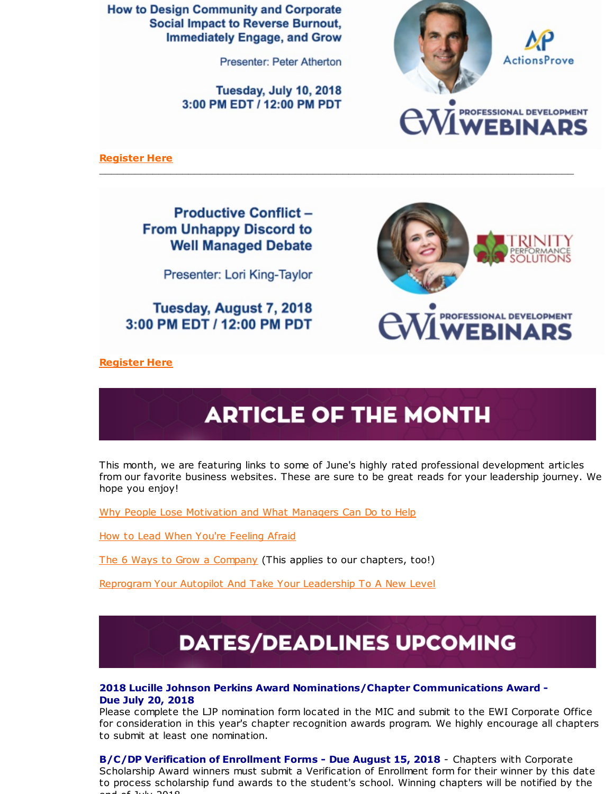**How to Design Community and Corporate Social Impact to Reverse Burnout, Immediately Engage, and Grow** 

**Presenter: Peter Atherton** 

Tuesday, July 10, 2018 3:00 PM EDT / 12:00 PM PDT



**[Register](http://r20.rs6.net/tn.jsp?f=001I0ba-jcicpZCqE_iT5Q2AUyNnk0ASzURXBny_BH6k4PmgknHoPvJQc0KyHtaWnpowGwCMfOo8G7qyyrRHv2fzcKOac1oosCvlaVLl23Bl4BQaOFyi9muWjVQFKpN4MBUxDauaslInlzfsQj87DuoRB-fe_OV6Nq0dgGJGgR9cYdpjcGsFSShVZZFijX0f6qYoY1ci5SYNSCCpEQ4s0ovALqU4cUM6nB1&c=&ch=) Here**

**Productive Conflict -From Unhappy Discord to Well Managed Debate** 

Presenter: Lori King-Taylor

Tuesday, August 7, 2018 3:00 PM EDT / 12:00 PM PDT



**[Register](http://r20.rs6.net/tn.jsp?f=001I0ba-jcicpZCqE_iT5Q2AUyNnk0ASzURXBny_BH6k4PmgknHoPvJQV1bKZrWdY1KbcWnJv9Hz_Jo3BU1XLM2tqPEl1PJRt0YTWM7SgKTFNUjCTiB3xWpc9G4HzJDbTPKpxrwwoTWfAkkI3JhyKaTdz0R21SLsXRUDjCAxLbrpArmYgAMbiQTw0YAE8vyk-ixu6Ge9t0SeCLYnrlb_PhePSb5SkWHmWQn&c=&ch=) Here**

# **ARTICLE OF THE MONTH**

\_\_\_\_\_\_\_\_\_\_\_\_\_\_\_\_\_\_\_\_\_\_\_\_\_\_\_\_\_\_\_\_\_\_\_\_\_\_\_\_\_\_\_\_\_\_\_\_\_\_\_\_\_\_\_\_\_\_\_\_\_\_\_\_\_\_\_\_\_\_\_\_\_\_\_\_\_\_\_\_

This month, we are featuring links to some of June's highly rated professional development articles from our favorite business websites. These are sure to be great reads for your leadership journey. We hope you enjoy!

Why People Lose [Motivation](http://r20.rs6.net/tn.jsp?f=001I0ba-jcicpZCqE_iT5Q2AUyNnk0ASzURXBny_BH6k4PmgknHoPvJQV1bKZrWdY1KZ4gpjNUITppThDqu961nH2l9f96MxH2_x9cQdDxNyfZ8TPeClu-evMem4QtFA421x_Dl6B00gUrR9eUpCdY3rhz7urrHO9GBS3Y1Q4bUwDe4eeLeujaQcAYyvVkTczhTrKnpPfl67KCFpwXif5s7dTd1a6ZcdRrP1skumFynF4t2rK0hS6GpDDpQcHHy9PrW&c=&ch=) and What Managers Can Do to Help

How to Lead When You're [Feeling](http://r20.rs6.net/tn.jsp?f=001I0ba-jcicpZCqE_iT5Q2AUyNnk0ASzURXBny_BH6k4PmgknHoPvJQV1bKZrWdY1Ku0TkwGS0fgE2E0KjkLATuXAZH3WG1gYfP51DkrY0ljWGbQk7__lT-5wWVHNLkv2sF39VmW5liSMFy2FdSNs2mIGtTEGvqtC-Tb4PVphoG7Xm8Mydpd4Iq_q05Dr944bBTQ7AD_ykzvA42o6foO-mtfsuML8lKqh2&c=&ch=) Afraid

The 6 Ways to Grow a [Company](http://r20.rs6.net/tn.jsp?f=001I0ba-jcicpZCqE_iT5Q2AUyNnk0ASzURXBny_BH6k4PmgknHoPvJQV1bKZrWdY1KKIKZ8CbA_MlC9LEMmGMrAkcYU6NiaW_kbunEm3pIFm-Tv2fjUzU84CBTZkxpvrxTp3J9fx1qsscl-Bjd0zJqIjUiIMpc9XA-sPkEgYdBvixJrCH2tbenXQigFS_ZArR9vUgpQL-pRHyNGGi4Fu6CXg==&c=&ch=) (This applies to our chapters, too!)

[Reprogram](http://r20.rs6.net/tn.jsp?f=001I0ba-jcicpZCqE_iT5Q2AUyNnk0ASzURXBny_BH6k4PmgknHoPvJQV1bKZrWdY1KuO0ky62SX9poe5K0GIYaWyiGQ3DcpX6UTnSf2cyubEsXInI4FM_WWkG_JsUI7onX-YIIcZ35weHQKJHasWd6sCKP4fBNuMz5FGwwccInUdQUlt3eu0VgvSyJBBt5Ov9ufhuX51-_YahYowc8AiJR-S9CgD7mtoqatAZQ9op0hU-AXnpJrizR_KLjDgWBJazeJP1YN-2kArzv6Lanp07d6JjTbpDx8YH2qIvgIu8J4efskAPPLiNeG_WEVDhsBFzNkcBVHtHeOQE=&c=&ch=) Your Autopilot And Take Your Leadership To A New Level

## **DATES/DEADLINES UPCOMING**

#### **2018 Lucille Johnson Perkins Award Nominations/Chapter Communications Award - Due July 20, 2018**

Please complete the LJP nomination form located in the MIC and submit to the EWI Corporate Office for consideration in this year's chapter recognition awards program. We highly encourage all chapters to submit at least one nomination.

**B/C/DP Verification of Enrollment Forms - Due August 15, 2018** - Chapters with Corporate Scholarship Award winners must submit a Verification of Enrollment form for their winner by this date to process scholarship fund awards to the student's school. Winning chapters will be notified by the end of July 2018.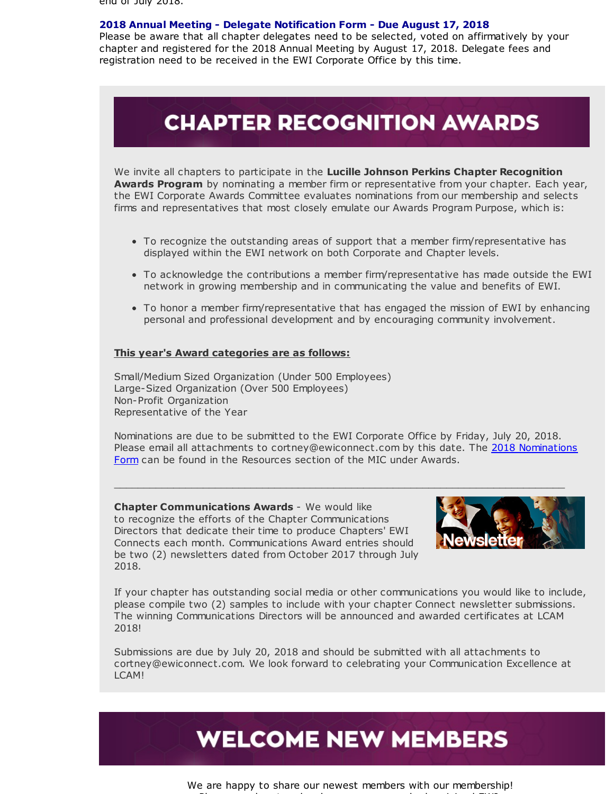end of July 2018.

#### **2018 Annual Meeting - Delegate Notification Form - Due August 17, 2018**

Please be aware that all chapter delegates need to be selected, voted on affirmatively by your chapter and registered for the 2018 Annual Meeting by August 17, 2018. Delegate fees and registration need to be received in the EWI Corporate Office by this time.

### **CHAPTER RECOGNITION AWARDS**

We invite all chapters to participate in the **Lucille Johnson Perkins Chapter Recognition Awards Program** by nominating a member firm or representative from your chapter. Each year, the EWI Corporate Awards Committee evaluates nominations from our membership and selects firms and representatives that most closely emulate our Awards Program Purpose, which is:

- To recognize the outstanding areas of support that a member firm/representative has displayed within the EWI network on both Corporate and Chapter levels.
- To acknowledge the contributions a member firm/representative has made outside the EWI network in growing membership and in communicating the value and benefits of EWI.
- To honor a member firm/representative that has engaged the mission of EWI by enhancing personal and professional development and by encouraging community involvement.

#### **This year's Award categories are as follows:**

Small/Medium Sized Organization (Under 500 Employees) Large-Sized Organization (Over 500 Employees) Non-Profit Organization Representative of the Year

Nominations are due to be submitted to the EWI Corporate Office by Friday, July 20, 2018. Please email all attachments to [cortney@ewiconnect.com](http://r20.rs6.net/tn.jsp?f=001I0ba-jcicpZCqE_iT5Q2AUyNnk0ASzURXBny_BH6k4PmgknHoPvJQc0KyHtaWnpozZSJn3rPDAYmVdDuREPcMgSbXjq90iHJZH00Pj2EnuvDsTVoXy-stKSzoIbwf0E0sRo1HC-LohNuRTb_WkgbRvmTEk31Z1OM4De7spbZcamdFWDTJf6ueWlVLRbFEZRgU1s7P61MVwWGFtMpDabGt_Q1lF3FYhRYuxouvviix3ef_8mZTB32KOlsOLb72baMJy9RCwirKR3xDUlQyMutSg==&c=&ch=) by this date. The 2018 Nominations Form can be found in the Resources section of the MIC under Awards.

 $\_$  , and the set of the set of the set of the set of the set of the set of the set of the set of the set of the set of the set of the set of the set of the set of the set of the set of the set of the set of the set of th

**Chapter Communications Awards** - We would like to recognize the efforts of the Chapter Communications Directors that dedicate their time to produce Chapters' EWI Connects each month. Communications Award entries should be two (2) newsletters dated from October 2017 through July 2018.



If your chapter has outstanding social media or other communications you would like to include, please compile two (2) samples to include with your chapter Connect newsletter submissions. The winning Communications Directors will be announced and awarded certificates at LCAM 2018!

Submissions are due by July 20, 2018 and should be submitted with all attachments to cortney@ewiconnect.com. We look forward to celebrating your Communication Excellence at LCAM!



We are happy to share our newest members with our membership! Please reach out and welcome everyone who has joined EWI.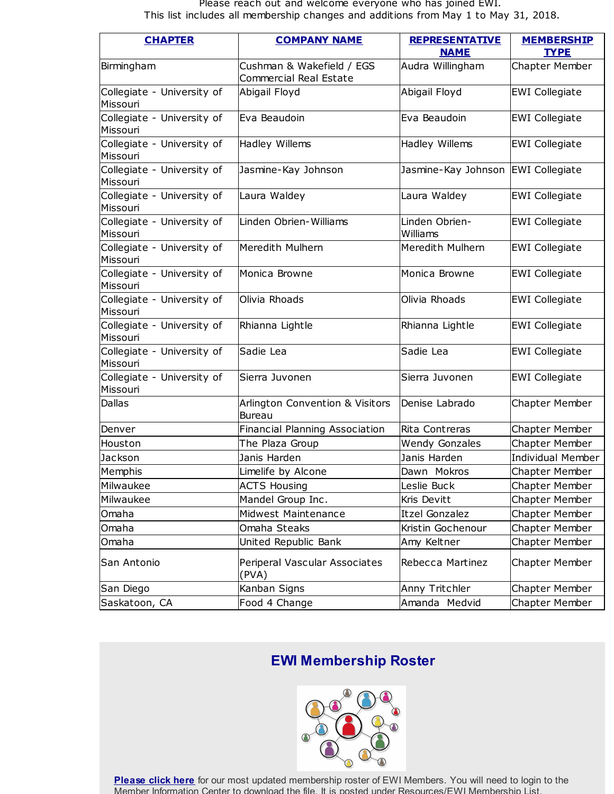#### Please reach out and welcome everyone who has joined EWI. This list includes all membership changes and additions from May 1 to May 31, 2018.

| <b>CHAPTER</b>                         | <b>COMPANY NAME</b>                                         | <b>REPRESENTATIVE</b>      | <b>MEMBERSHIP</b>        |
|----------------------------------------|-------------------------------------------------------------|----------------------------|--------------------------|
|                                        |                                                             | <b>NAME</b>                | <b>TYPE</b>              |
| Birmingham                             | Cushman & Wakefield / EGS<br>Commercial Real Estate         | Audra Willingham           | Chapter Member           |
| Collegiate - University of<br>Missouri | Abigail Floyd                                               | Abigail Floyd              | <b>EWI Collegiate</b>    |
| Collegiate - University of<br>Missouri | Eva Beaudoin                                                | Eva Beaudoin               | <b>EWI Collegiate</b>    |
| Collegiate - University of<br>Missouri | Hadley Willems                                              | Hadley Willems             | <b>EWI Collegiate</b>    |
| Collegiate - University of<br>Missouri | Jasmine-Kay Johnson                                         | Jasmine-Kay Johnson        | <b>EWI</b> Collegiate    |
| Collegiate - University of<br>Missouri | Laura Waldey                                                | Laura Waldey               | <b>EWI Collegiate</b>    |
| Collegiate - University of<br>Missouri | Linden Obrien-Williams                                      | Linden Obrien-<br>Williams | <b>EWI Collegiate</b>    |
| Collegiate - University of<br>Missouri | Meredith Mulhern                                            | Meredith Mulhern           | <b>EWI Collegiate</b>    |
| Collegiate - University of<br>Missouri | Monica Browne                                               | Monica Browne              | <b>EWI Collegiate</b>    |
| Collegiate - University of<br>Missouri | Olivia Rhoads                                               | Olivia Rhoads              | <b>EWI Collegiate</b>    |
| Collegiate - University of<br>Missouri | Rhianna Lightle                                             | Rhianna Lightle            | <b>EWI Collegiate</b>    |
| Collegiate - University of<br>Missouri | Sadie Lea                                                   | Sadie Lea                  | <b>EWI Collegiate</b>    |
| Collegiate - University of<br>Missouri | Sierra Juvonen                                              | Sierra Juvonen             | <b>EWI Collegiate</b>    |
| Dallas                                 | <b>Arlington Convention &amp; Visitors</b><br><b>Bureau</b> | Denise Labrado             | <b>Chapter Member</b>    |
| Denver                                 | Financial Planning Association                              | Rita Contreras             | <b>Chapter Member</b>    |
| Houston                                | The Plaza Group                                             | <b>Wendy Gonzales</b>      | Chapter Member           |
| Jackson                                | Janis Harden                                                | Janis Harden               | <b>Individual Member</b> |
| Memphis                                | Limelife by Alcone                                          | Dawn Mokros                | Chapter Member           |
| Milwaukee                              | <b>ACTS Housing</b>                                         | Leslie Buck                | <b>Chapter Member</b>    |
| Milwaukee                              | Mandel Group Inc.                                           | Kris Devitt                | <b>Chapter Member</b>    |
| Omaha                                  | Midwest Maintenance                                         | <b>Itzel Gonzalez</b>      | <b>Chapter Member</b>    |
| Omaha                                  | Omaha Steaks                                                | Kristin Gochenour          | Chapter Member           |
| Omaha                                  | United Republic Bank                                        | Amy Keltner                | <b>Chapter Member</b>    |
| San Antonio                            | Periperal Vascular Associates<br>(PVA)                      | Rebecca Martinez           | <b>Chapter Member</b>    |
| San Diego                              | Kanban Signs                                                | Anny Tritchler             | Chapter Member           |
| Saskatoon, CA                          | Food 4 Change                                               | Amanda Medvid              | <b>Chapter Member</b>    |

### **EWI Membership Roster**



**[Please](http://r20.rs6.net/tn.jsp?f=001I0ba-jcicpZCqE_iT5Q2AUyNnk0ASzURXBny_BH6k4PmgknHoPvJQRlqwEB3CNXgghYdWDvrQG4GyNS9DcsilSMlzWewoi33QZ7TRr5pb07gDPltg_d7Rpol0RmULdcK8oEZj5-PakmVUnNxAgw_Ty7IfsfNyAfRCqLT7By_ivm3q7vPxgBEAqO71DgGG7y3wWzwaK3_ICzKJvYMmjk8fzaWy5iipOG2iln9nCb5_PwzvRhZO2OTIgL0vh7ZeptXwGBxtDB--0hiKbxnCmaaMg==&c=&ch=) click here** for our most updated membership roster of EWI Members. You will need to login to the Member Information Center to download the file. It is posted under Resources/EWI Membership List.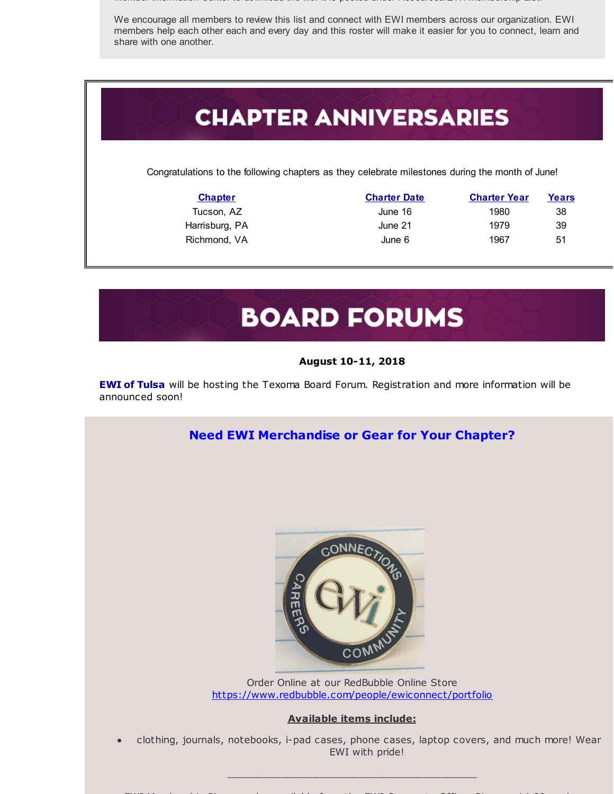Member Information Center to download the file. It is posted under Resources/EWI Membership List.

We encourage all members to review this list and connect with EWI members across our organization. EWI members help each other each and every day and this roster will make it easier for you to connect, learn and share with one another.

# **CHAPTER ANNIVERSARIES**

Congratulations to the following chapters as they celebrate milestones during the month of June!

| <b>Chapter</b> | <b>Charter Date</b> | <b>Charter Year</b> | Years |
|----------------|---------------------|---------------------|-------|
| Tucson, AZ     | June 16             | 1980                | 38    |
| Harrisburg, PA | June 21             | 1979                | 39    |
| Richmond, VA   | June 6              | 1967                | 51    |

# **BOARD FORUMS**

#### **August 10-11, 2018**

**EWI of Tulsa** will be hosting the Texoma Board Forum. Registration and more information will be announced soon!

### **Need EWI Merchandise or Gear for Your Chapter?**



Order Online at our RedBubble Online Store [https://www.redbubble.com/people/ewiconnect/portfolio](http://r20.rs6.net/tn.jsp?f=001I0ba-jcicpZCqE_iT5Q2AUyNnk0ASzURXBny_BH6k4PmgknHoPvJQbbanKmMYiQKhUg3fKZ4yl1Nggh2vYdETJ7o411aDViHrgF1oN7gFXKEB2cru3L88nIWRkxhgLTOhQLfz3gH3Nyfq1lMKuLi9MlkG_U5wgED44BrgNI-o_qR433YQBOx26o58gCjMOcEPWKteXaQszYwygidf0FiyQ==&c=&ch=)

#### **Available items include:**

clothing, journals, notebooks, i-pad cases, phone cases, laptop covers, and much more! Wear EWI with pride!

\_\_\_\_\_\_\_\_\_\_\_\_\_\_\_\_\_\_\_\_\_\_\_\_\_\_\_\_\_\_\_\_\_\_\_\_\_\_\_\_\_\_

EWI Membership Pins are also available from the EWI Corporate Office. Pins are \$4.00 each.